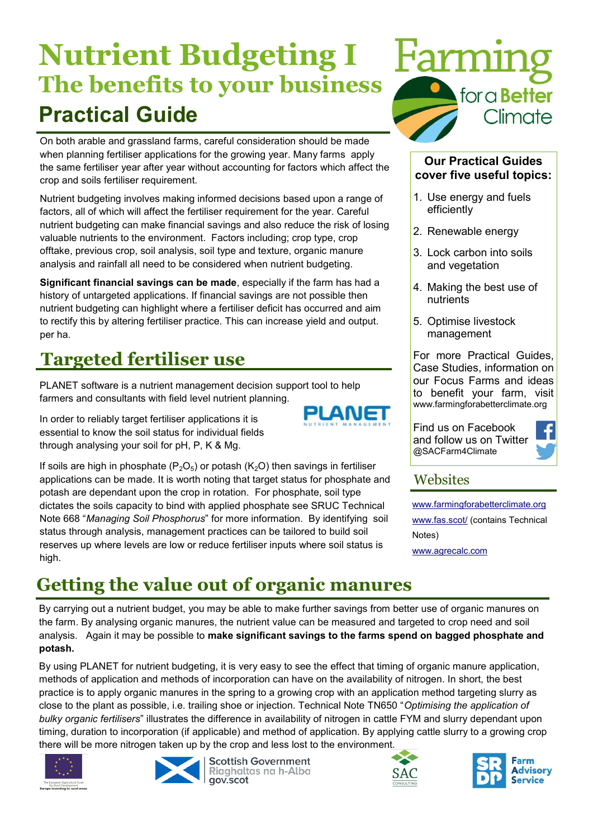# **Nutrient Budgeting I The benefits to your business Practical Guide**

On both arable and grassland farms, careful consideration should be made when planning fertiliser applications for the growing year. Many farms apply the same fertiliser year after year without accounting for factors which affect the crop and soils fertiliser requirement.

Nutrient budgeting involves making informed decisions based upon a range of factors, all of which will affect the fertiliser requirement for the year. Careful nutrient budgeting can make financial savings and also reduce the risk of losing valuable nutrients to the environment. Factors including; crop type, crop offtake, previous crop, soil analysis, soil type and texture, organic manure analysis and rainfall all need to be considered when nutrient budgeting.

**Significant financial savings can be made**, especially if the farm has had a history of untargeted applications. If financial savings are not possible then nutrient budgeting can highlight where a fertiliser deficit has occurred and aim to rectify this by altering fertiliser practice. This can increase yield and output. per ha.

## **Targeted fertiliser use**

PLANET software is a nutrient management decision support tool to help farmers and consultants with field level nutrient planning.

In order to reliably target fertiliser applications it is essential to know the soil status for individual fields through analysing your soil for pH, P, K & Mg.





#### **Our Practical Guides cover five useful topics:**

- 1. Use energy and fuels efficiently
- 2. Renewable energy
- 3. Lock carbon into soils and vegetation
- 4. Making the best use of nutrients
- 5. Optimise livestock management

For more Practical Guides, Case Studies, information on our Focus Farms and ideas to benefit your farm, visit www.farmingforabetterclimate.org

Find us on Facebook and follow us on Twitter @SACFarm4Climate



#### **Websites**

[www.farmingforabetterclimate.org](http://www.farmingforabetterclimate.org) [www.fas.scot/](http://www.fas.scot/) (contains Technical Notes)

[www.agrecalc.com](http://www.agrecalc.com)

# **Getting the value out of organic manures**

By carrying out a nutrient budget, you may be able to make further savings from better use of organic manures on the farm. By analysing organic manures, the nutrient value can be measured and targeted to crop need and soil analysis. Again it may be possible to **make significant savings to the farms spend on bagged phosphate and potash.** 

An

By using PLANET for nutrient budgeting, it is very easy to see the effect that timing of organic manure application, methods of application and methods of incorporation can have on the availability of nitrogen. In short, the best practice is to apply organic manures in the spring to a growing crop with an application method targeting slurry as close to the plant as possible, i.e. trailing shoe or injection. Technical Note TN650 "*Optimising the application of bulky organic fertilisers*" illustrates the difference in availability of nitrogen in cattle FYM and slurry dependant upon timing, duration to incorporation (if applicable) and method of application. By applying cattle slurry to a growing crop there will be more nitrogen taken up by the crop and less lost to the environment.





**Scottish Government** Riaghaltas na h-Alba gov.scot